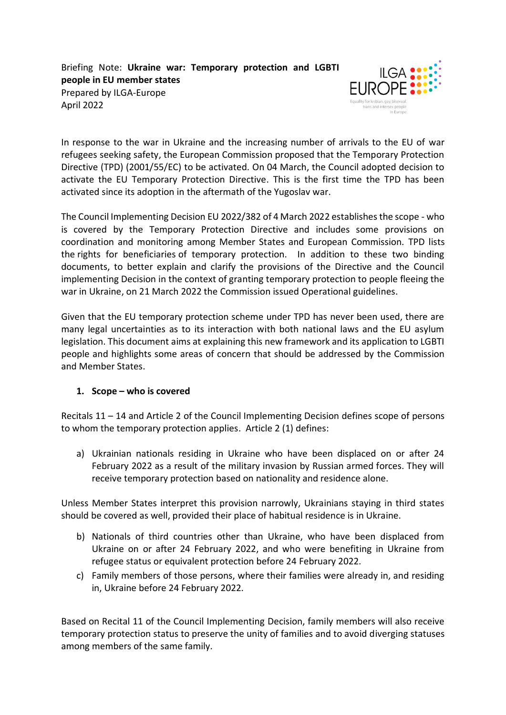Briefing Note: **Ukraine war: Temporary protection and LGBTI people in EU member states** Prepared by ILGA-Europe April 2022



In response to the war in Ukraine and the increasing number of arrivals to the EU of war refugees seeking safety, the European Commission proposed that the Temporary Protection Directive (TPD) (2001/55/EC) to be activated. On 04 March, the Council adopted decision to activate the EU Temporary Protection Directive. This is the first time the TPD has been activated since its adoption in the aftermath of the Yugoslav war.

The Council Implementing Decision EU 2022/382 of 4 March 2022 establishes the scope - who is covered by the Temporary Protection Directive and includes some provisions on coordination and monitoring among Member States and European Commission. TPD lists the rights for beneficiaries of temporary protection. In addition to these two binding documents, to better explain and clarify the provisions of the Directive and the Council implementing Decision in the context of granting temporary protection to people fleeing the war in Ukraine, on 21 March 2022 the Commission issued [Operational guidelines.](https://eur-lex.europa.eu/legal-content/EN/TXT/?uri=CELEX%3A52022XC0321%2803%29&qid=1647940863274)

Given that the EU temporary protection scheme under TPD has never been used, there are many legal uncertainties as to its interaction with both national laws and the EU asylum legislation. This document aims at explaining this new framework and its application to LGBTI people and highlights some areas of concern that should be addressed by the Commission and Member States.

## **1. Scope – who is covered**

Recitals 11 – 14 and Article 2 of the Council Implementing Decision defines scope of persons to whom the temporary protection applies. Article 2 (1) defines:

a) Ukrainian nationals residing in Ukraine who have been displaced on or after 24 February 2022 as a result of the military invasion by Russian armed forces. They will receive temporary protection based on nationality and residence alone.

Unless Member States interpret this provision narrowly, Ukrainians staying in third states should be covered as well, provided their place of habitual residence is in Ukraine.

- b) Nationals of third countries other than Ukraine, who have been displaced from Ukraine on or after 24 February 2022, and who were benefiting in Ukraine from refugee status or equivalent protection before 24 February 2022.
- c) Family members of those persons, where their families were already in, and residing in, Ukraine before 24 February 2022.

Based on Recital 11 of the Council Implementing Decision, family members will also receive temporary protection status to preserve the unity of families and to avoid diverging statuses among members of the same family.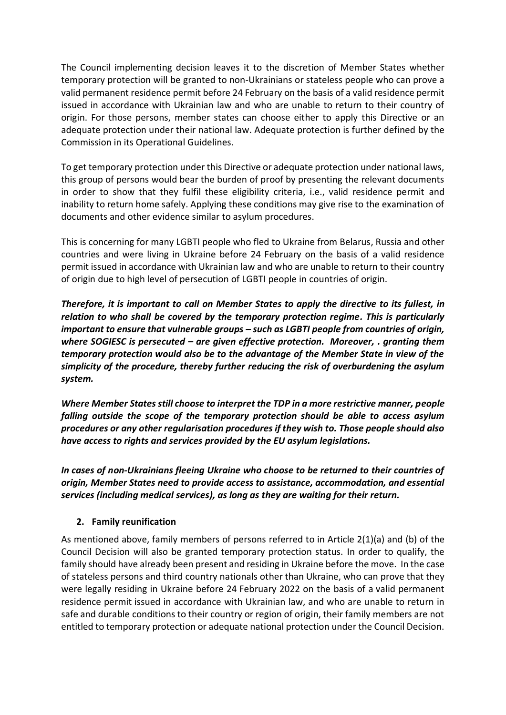The Council implementing decision leaves it to the discretion of Member States whether temporary protection will be granted to non-Ukrainians or stateless people who can prove a valid permanent residence permit before 24 February on the basis of a valid residence permit issued in accordance with Ukrainian law and who are unable to return to their country of origin. For those persons, member states can choose either to apply this Directive or an adequate protection under their national law. Adequate protection is further defined by the Commission in its [Operational Guidelines.](https://eur-lex.europa.eu/legal-content/EN/TXT/?uri=CELEX%3A52022XC0321%2803%29&qid=1647940863274)

To get temporary protection under this Directive or adequate protection under national laws, this group of persons would bear the burden of proof by presenting the relevant documents in order to show that they fulfil these eligibility criteria, i.e., valid residence permit and inability to return home safely. Applying these conditions may give rise to the examination of documents and other evidence similar to asylum procedures.

This is concerning for many LGBTI people who fled to Ukraine from Belarus, Russia and other countries and were living in Ukraine before 24 February on the basis of a valid residence permit issued in accordance with Ukrainian law and who are unable to return to their country of origin due to high level of persecution of LGBTI people in countries of origin.

*Therefore, it is important to call on Member States to apply the directive to its fullest, in relation to who shall be covered by the temporary protection regime. This is particularly important to ensure that vulnerable groups – such as LGBTI people from countries of origin, where SOGIESC is persecuted – are given effective protection. Moreover, . granting them temporary protection would also be to the advantage of the Member State in view of the simplicity of the procedure, thereby further reducing the risk of overburdening the asylum system.*

*Where Member States still choose to interpret the TDP in a more restrictive manner, people falling outside the scope of the temporary protection should be able to access asylum procedures or any other regularisation procedures if they wish to. Those people should also have access to rights and services provided by the EU asylum legislations.*

*In cases of non-Ukrainians fleeing Ukraine who choose to be returned to their countries of origin, Member States need to provide access to assistance, accommodation, and essential services (including medical services), as long as they are waiting for their return.* 

## **2. Family reunification**

As mentioned above, family members of persons referred to in Article 2(1)(a) and (b) of the Council Decision will also be granted temporary protection status. In order to qualify, the family should have already been present and residing in Ukraine before the move. In the case of stateless persons and third country nationals other than Ukraine, who can prove that they were legally residing in Ukraine before 24 February 2022 on the basis of a valid permanent residence permit issued in accordance with Ukrainian law, and who are unable to return in safe and durable conditions to their country or region of origin, their family members are not entitled to temporary protection or adequate national protection under the Council Decision.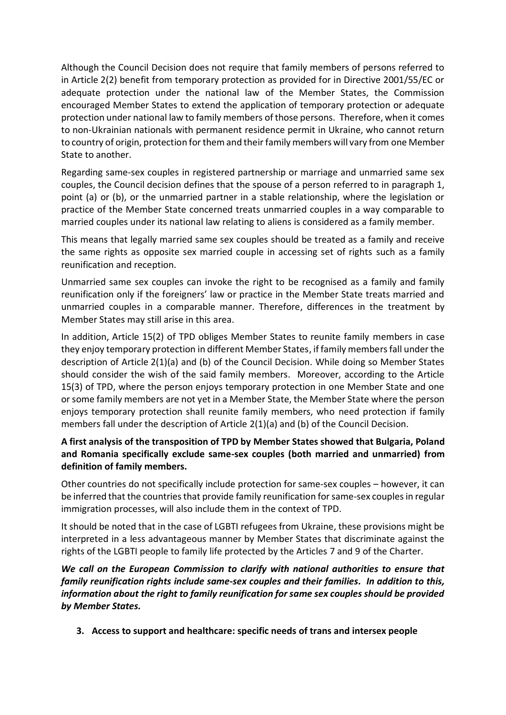Although the Council Decision does not require that family members of persons referred to in Article 2(2) benefit from temporary protection as provided for in Directive 2001/55/EC or adequate protection under the national law of the Member States, the Commission encouraged Member States to extend the application of temporary protection or adequate protection under national law to family members of those persons. Therefore, when it comes to non-Ukrainian nationals with permanent residence permit in Ukraine, who cannot return to country of origin, protection for them and their family members will vary from one Member State to another.

Regarding same-sex couples in registered partnership or marriage and unmarried same sex couples, the Council decision defines that the spouse of a person referred to in paragraph 1, point (a) or (b), or the unmarried partner in a stable relationship, where the legislation or practice of the Member State concerned treats unmarried couples in a way comparable to married couples under its national law relating to aliens is considered as a family member.

This means that legally married same sex couples should be treated as a family and receive the same rights as opposite sex married couple in accessing set of rights such as a family reunification and reception.

Unmarried same sex couples can invoke the right to be recognised as a family and family reunification only if the foreigners' law or practice in the Member State treats married and unmarried couples in a comparable manner. Therefore, differences in the treatment by Member States may still arise in this area.

In addition, Article 15(2) of TPD obliges Member States to reunite family members in case they enjoy temporary protection in different Member States, if family members fall under the description of Article 2(1)(a) and (b) of the Council Decision. While doing so Member States should consider the wish of the said family members. Moreover, according to the Article 15(3) of TPD, where the person enjoys temporary protection in one Member State and one orsome family members are not yet in a Member State, the Member State where the person enjoys temporary protection shall reunite family members, who need protection if family members fall under the description of Article  $2(1)(a)$  and (b) of the Council Decision.

## **A first analysis of the transposition of TPD by Member States showed that Bulgaria, Poland and Romania specifically exclude same-sex couples (both married and unmarried) from definition of family members.**

Other countries do not specifically include protection for same-sex couples – however, it can be inferred that the countries that provide family reunification for same-sex couples in regular immigration processes, will also include them in the context of TPD.

It should be noted that in the case of LGBTI refugees from Ukraine, these provisions might be interpreted in a less advantageous manner by Member States that discriminate against the rights of the LGBTI people to family life protected by the Articles 7 and 9 of the Charter.

*We call on the European Commission to clarify with national authorities to ensure that family reunification rights include same-sex couples and their families. In addition to this, information about the right to family reunification for same sex couples should be provided by Member States.* 

**3. Access to support and healthcare: specific needs of trans and intersex people**